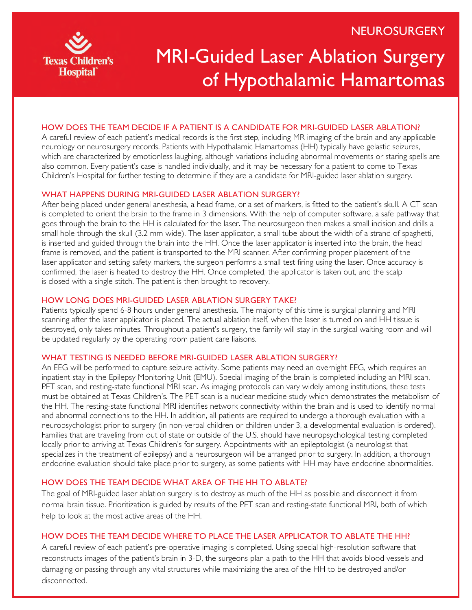## **NEUROSURGERY**



# MRI-Guided Laser Ablation Surgery of Hypothalamic Hamartomas

## HOW DOES THE TEAM DECIDE IF A PATIENT IS A CANDIDATE FOR MRI-GUIDED LASER ABLATION?

A careful review of each patient's medical records is the first step, including MR imaging of the brain and any applicable neurology or neurosurgery records. Patients with Hypothalamic Hamartomas (HH) typically have gelastic seizures, which are characterized by emotionless laughing, although variations including abnormal movements or staring spells are also common. Every patient's case is handled individually, and it may be necessary for a patient to come to Texas Children's Hospital for further testing to determine if they are a candidate for MRI-guided laser ablation surgery.

#### WHAT HAPPENS DURING MRI-GUIDED LASER ABLATION SURGERY?

After being placed under general anesthesia, a head frame, or a set of markers, is fitted to the patient's skull. A CT scan is completed to orient the brain to the frame in 3 dimensions. With the help of computer software, a safe pathway that goes through the brain to the HH is calculated for the laser. The neurosurgeon then makes a small incision and drills a small hole through the skull (3.2 mm wide). The laser applicator, a small tube about the width of a strand of spaghetti, is inserted and guided through the brain into the HH. Once the laser applicator is inserted into the brain, the head frame is removed, and the patient is transported to the MRI scanner. After confirming proper placement of the laser applicator and setting safety markers, the surgeon performs a small test firing using the laser. Once accuracy is confirmed, the laser is heated to destroy the HH. Once completed, the applicator is taken out, and the scalp is closed with a single stitch. The patient is then brought to recovery.

## HOW LONG DOES MRI-GUIDED LASER ABLATION SURGERY TAKE?

Patients typically spend 6-8 hours under general anesthesia. The majority of this time is surgical planning and MRI scanning after the laser applicator is placed. The actual ablation itself, when the laser is turned on and HH tissue is destroyed, only takes minutes. Throughout a patient's surgery, the family will stay in the surgical waiting room and will be updated regularly by the operating room patient care liaisons.

## WHAT TESTING IS NEEDED BEFORE MRI-GUIDED LASER ABLATION SURGERY?

An EEG will be performed to capture seizure activity. Some patients may need an overnight EEG, which requires an inpatient stay in the Epilepsy Monitoring Unit (EMU). Special imaging of the brain is completed including an MRI scan, PET scan, and resting-state functional MRI scan. As imaging protocols can vary widely among institutions, these tests must be obtained at Texas Children's. The PET scan is a nuclear medicine study which demonstrates the metabolism of the HH. The resting-state functional MRI identifies network connectivity within the brain and is used to identify normal and abnormal connections to the HH. In addition, all patients are required to undergo a thorough evaluation with a neuropsychologist prior to surgery (in non-verbal children or children under 3, a developmental evaluation is ordered). Families that are traveling from out of state or outside of the U.S. should have neuropsychological testing completed locally prior to arriving at Texas Children's for surgery. Appointments with an epileptologist (a neurologist that specializes in the treatment of epilepsy) and a neurosurgeon will be arranged prior to surgery. In addition, a thorough endocrine evaluation should take place prior to surgery, as some patients with HH may have endocrine abnormalities.

## HOW DOES THE TEAM DECIDE WHAT AREA OF THE HH TO ABLATE?

The goal of MRI-guided laser ablation surgery is to destroy as much of the HH as possible and disconnect it from normal brain tissue. Prioritization is guided by results of the PET scan and resting-state functional MRI, both of which help to look at the most active areas of the HH.

## HOW DOES THE TEAM DECIDE WHERE TO PLACE THE LASER APPLICATOR TO ABLATE THE HH?

A careful review of each patient's pre-operative imaging is completed. Using special high-resolution software that reconstructs images of the patient's brain in 3-D, the surgeons plan a path to the HH that avoids blood vessels and damaging or passing through any vital structures while maximizing the area of the HH to be destroyed and/or disconnected.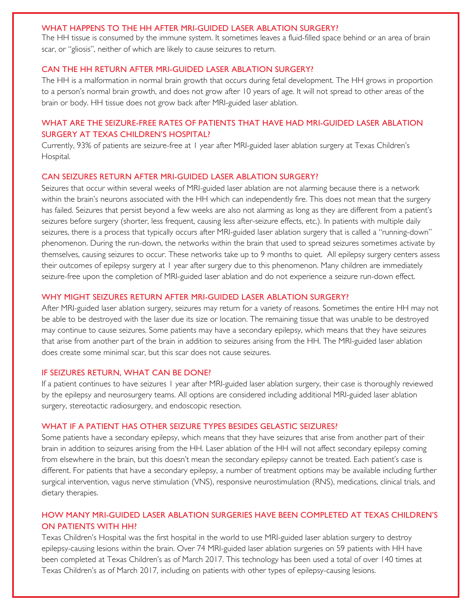#### WHAT HAPPENS TO THE HH AFTER MRI-GUIDED LASER ABLATION SURGERY?

The HH tissue is consumed by the immune system. It sometimes leaves a fluid-filled space behind or an area of brain scar, or "gliosis", neither of which are likely to cause seizures to return.

### CAN THE HH RETURN AFTER MRI-GUIDED LASER ABLATION SURGERY?

The HH is a malformation in normal brain growth that occurs during fetal development. The HH grows in proportion to a person's normal brain growth, and does not grow after 10 years of age. It will not spread to other areas of the brain or body. HH tissue does not grow back after MRI-guided laser ablation.

## WHAT ARE THE SEIZURE-FREE RATES OF PATIENTS THAT HAVE HAD MRI-GUIDED LASER ABLATION SURGERY AT TEXAS CHILDREN'S HOSPITAL?

Currently, 93% of patients are seizure-free at 1 year after MRI-guided laser ablation surgery at Texas Children's Hospital.

#### CAN SEIZURES RETURN AFTER MRI-GUIDED LASER ABLATION SURGERY?

Seizures that occur within several weeks of MRI-guided laser ablation are not alarming because there is a network within the brain's neurons associated with the HH which can independently fire. This does not mean that the surgery has failed. Seizures that persist beyond a few weeks are also not alarming as long as they are different from a patient's seizures before surgery (shorter, less frequent, causing less after-seizure effects, etc.). In patients with multiple daily seizures, there is a process that typically occurs after MRI-guided laser ablation surgery that is called a "running-down" phenomenon. During the run-down, the networks within the brain that used to spread seizures sometimes activate by themselves, causing seizures to occur. These networks take up to 9 months to quiet. All epilepsy surgery centers assess their outcomes of epilepsy surgery at 1 year after surgery due to this phenomenon. Many children are immediately seizure-free upon the completion of MRI-guided laser ablation and do not experience a seizure run-down effect.

#### WHY MIGHT SEIZURES RETURN AFTER MRI-GUIDED LASER ABLATION SURGERY?

After MRI-guided laser ablation surgery, seizures may return for a variety of reasons. Sometimes the entire HH may not be able to be destroyed with the laser due its size or location. The remaining tissue that was unable to be destroyed may continue to cause seizures. Some patients may have a secondary epilepsy, which means that they have seizures that arise from another part of the brain in addition to seizures arising from the HH. The MRI-guided laser ablation does create some minimal scar, but this scar does not cause seizures.

### IF SEIZURES RETURN, WHAT CAN BE DONE?

If a patient continues to have seizures 1 year after MRI-guided laser ablation surgery, their case is thoroughly reviewed by the epilepsy and neurosurgery teams. All options are considered including additional MRI-guided laser ablation surgery, stereotactic radiosurgery, and endoscopic resection.

## WHAT IF A PATIENT HAS OTHER SEIZURE TYPES BESIDES GELASTIC SEIZURES?

Some patients have a secondary epilepsy, which means that they have seizures that arise from another part of their brain in addition to seizures arising from the HH. Laser ablation of the HH will not affect secondary epilepsy coming from elsewhere in the brain, but this doesn't mean the secondary epilepsy cannot be treated. Each patient's case is different. For patients that have a secondary epilepsy, a number of treatment options may be available including further surgical intervention, vagus nerve stimulation (VNS), responsive neurostimulation (RNS), medications, clinical trials, and dietary therapies.

## HOW MANY MRI-GUIDED LASER ABLATION SURGERIES HAVE BEEN COMPLETED AT TEXAS CHILDREN'S ON PATIENTS WITH HH?

Texas Children's Hospital was the first hospital in the world to use MRI-guided laser ablation surgery to destroy epilepsy-causing lesions within the brain. Over 74 MRI-guided laser ablation surgeries on 59 patients with HH have been completed at Texas Children's as of March 2017. This technology has been used a total of over 140 times at Texas Children's as of March 2017, including on patients with other types of epilepsy-causing lesions.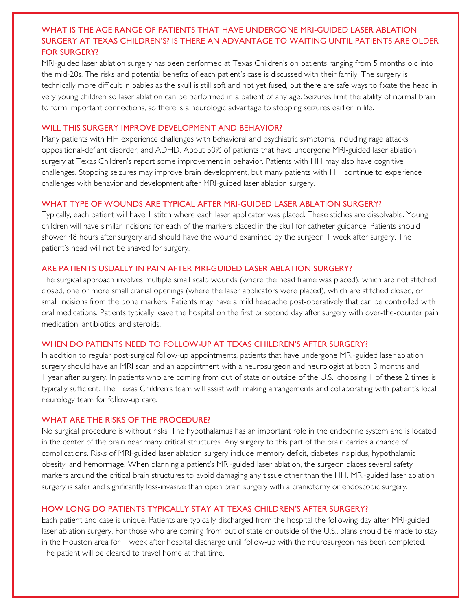## WHAT IS THE AGE RANGE OF PATIENTS THAT HAVE UNDERGONE MRI-GUIDED LASER ABLATION SURGERY AT TEXAS CHILDREN'S? IS THERE AN ADVANTAGE TO WAITING UNTIL PATIENTS ARE OLDER FOR SURGERY?

MRI-guided laser ablation surgery has been performed at Texas Children's on patients ranging from 5 months old into the mid-20s. The risks and potential benefits of each patient's case is discussed with their family. The surgery is technically more difficult in babies as the skull is still soft and not yet fused, but there are safe ways to fixate the head in very young children so laser ablation can be performed in a patient of any age. Seizures limit the ability of normal brain to form important connections, so there is a neurologic advantage to stopping seizures earlier in life.

## WILL THIS SURGERY IMPROVE DEVELOPMENT AND BEHAVIOR?

Many patients with HH experience challenges with behavioral and psychiatric symptoms, including rage attacks, oppositional-defiant disorder, and ADHD. About 50% of patients that have undergone MRI-guided laser ablation surgery at Texas Children's report some improvement in behavior. Patients with HH may also have cognitive challenges. Stopping seizures may improve brain development, but many patients with HH continue to experience challenges with behavior and development after MRI-guided laser ablation surgery.

## WHAT TYPE OF WOUNDS ARE TYPICAL AFTER MRI-GUIDED LASER ABLATION SURGERY?

Typically, each patient will have 1 stitch where each laser applicator was placed. These stiches are dissolvable. Young children will have similar incisions for each of the markers placed in the skull for catheter guidance. Patients should shower 48 hours after surgery and should have the wound examined by the surgeon 1 week after surgery. The patient's head will not be shaved for surgery.

## ARE PATIENTS USUALLY IN PAIN AFTER MRI-GUIDED LASER ABLATION SURGERY?

The surgical approach involves multiple small scalp wounds (where the head frame was placed), which are not stitched closed, one or more small cranial openings (where the laser applicators were placed), which are stitched closed, or small incisions from the bone markers. Patients may have a mild headache post-operatively that can be controlled with oral medications. Patients typically leave the hospital on the first or second day after surgery with over-the-counter pain medication, antibiotics, and steroids.

## WHEN DO PATIENTS NEED TO FOLLOW-UP AT TEXAS CHILDREN'S AFTER SURGERY?

In addition to regular post-surgical follow-up appointments, patients that have undergone MRI-guided laser ablation surgery should have an MRI scan and an appointment with a neurosurgeon and neurologist at both 3 months and 1 year after surgery. In patients who are coming from out of state or outside of the U.S., choosing 1 of these 2 times is typically sufficient. The Texas Children's team will assist with making arrangements and collaborating with patient's local neurology team for follow-up care.

## WHAT ARE THE RISKS OF THE PROCEDURE?

No surgical procedure is without risks. The hypothalamus has an important role in the endocrine system and is located in the center of the brain near many critical structures. Any surgery to this part of the brain carries a chance of complications. Risks of MRI-guided laser ablation surgery include memory deficit, diabetes insipidus, hypothalamic obesity, and hemorrhage. When planning a patient's MRI-guided laser ablation, the surgeon places several safety markers around the critical brain structures to avoid damaging any tissue other than the HH. MRI-guided laser ablation surgery is safer and significantly less-invasive than open brain surgery with a craniotomy or endoscopic surgery.

## HOW LONG DO PATIENTS TYPICALLY STAY AT TEXAS CHILDREN'S AFTER SURGERY?

Each patient and case is unique. Patients are typically discharged from the hospital the following day after MRI-guided laser ablation surgery. For those who are coming from out of state or outside of the U.S., plans should be made to stay in the Houston area for 1 week after hospital discharge until follow-up with the neurosurgeon has been completed. The patient will be cleared to travel home at that time.